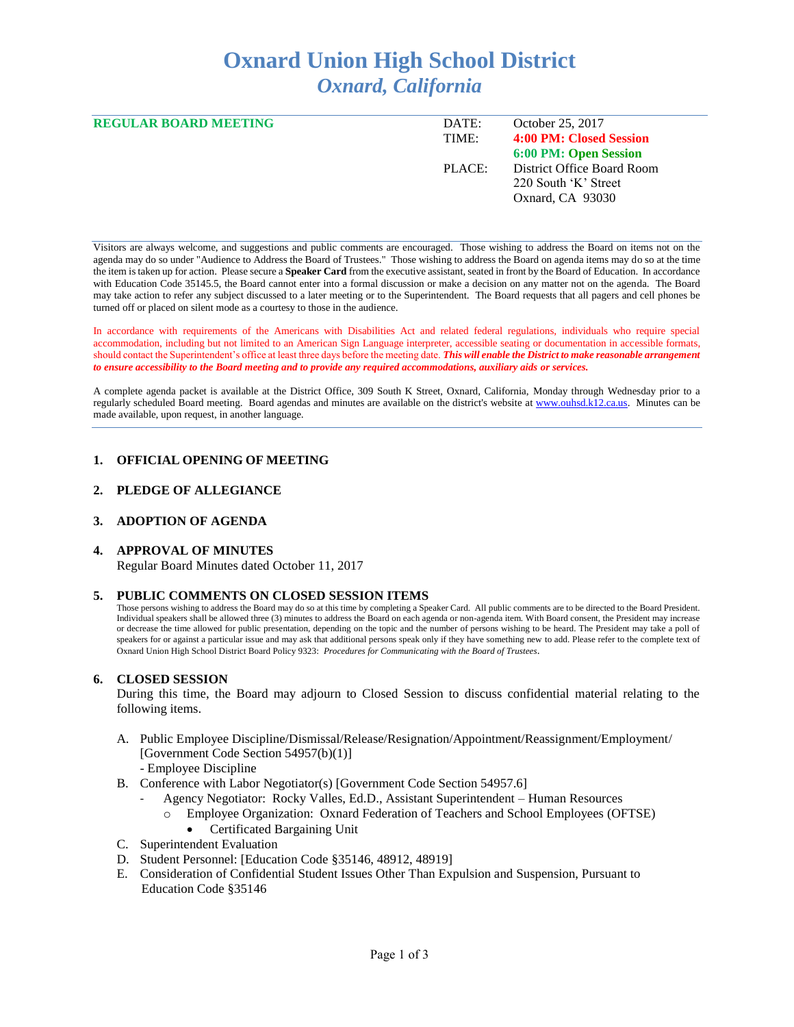# **Oxnard Union High School District** *Oxnard, California*

| <b>REGULAR BOARD MEETING</b> | DATE:  | October 25, 2017           |
|------------------------------|--------|----------------------------|
|                              | TIME:  | 4:00 PM: Closed Session    |
|                              |        | 6:00 PM: Open Session      |
|                              | PLACE: | District Office Board Room |
|                              |        | 220 South 'K' Street       |
|                              |        | Oxnard, CA 93030           |
|                              |        |                            |

Visitors are always welcome, and suggestions and public comments are encouraged. Those wishing to address the Board on items not on the agenda may do so under "Audience to Address the Board of Trustees." Those wishing to address the Board on agenda items may do so at the time the item is taken up for action. Please secure a **Speaker Card** from the executive assistant, seated in front by the Board of Education. In accordance with Education Code 35145.5, the Board cannot enter into a formal discussion or make a decision on any matter not on the agenda. The Board may take action to refer any subject discussed to a later meeting or to the Superintendent. The Board requests that all pagers and cell phones be turned off or placed on silent mode as a courtesy to those in the audience.

In accordance with requirements of the Americans with Disabilities Act and related federal regulations, individuals who require special accommodation, including but not limited to an American Sign Language interpreter, accessible seating or documentation in accessible formats, should contact the Superintendent's office at least three days before the meeting date. *This will enable the District to make reasonable arrangement to ensure accessibility to the Board meeting and to provide any required accommodations, auxiliary aids or services.* 

A complete agenda packet is available at the District Office, 309 South K Street, Oxnard, California, Monday through Wednesday prior to a regularly scheduled Board meeting. Board agendas and minutes are available on the district's website a[t www.ouhsd.k12.ca.us.](http://www.ouhsd.k12.ca.us/)Minutes can be made available, upon request, in another language.

## **1. OFFICIAL OPENING OF MEETING**

#### **2. PLEDGE OF ALLEGIANCE**

## **3. ADOPTION OF AGENDA**

#### **4. APPROVAL OF MINUTES**

Regular Board Minutes dated October 11, 2017

#### **5. PUBLIC COMMENTS ON CLOSED SESSION ITEMS**

Those persons wishing to address the Board may do so at this time by completing a Speaker Card. All public comments are to be directed to the Board President. Individual speakers shall be allowed three (3) minutes to address the Board on each agenda or non-agenda item. With Board consent, the President may increase or decrease the time allowed for public presentation, depending on the topic and the number of persons wishing to be heard. The President may take a poll of speakers for or against a particular issue and may ask that additional persons speak only if they have something new to add. Please refer to the complete text of Oxnard Union High School District Board Policy 9323: *Procedures for Communicating with the Board of Trustees*.

#### **6. CLOSED SESSION**

During this time, the Board may adjourn to Closed Session to discuss confidential material relating to the following items.

A. Public Employee Discipline/Dismissal/Release/Resignation/Appointment/Reassignment/Employment/ [Government Code Section 54957(b)(1)]

- Employee Discipline

- B. Conference with Labor Negotiator(s) [Government Code Section 54957.6]
	- Agency Negotiator: Rocky Valles, Ed.D., Assistant Superintendent Human Resources
		- o Employee Organization: Oxnard Federation of Teachers and School Employees (OFTSE)
		- Certificated Bargaining Unit
- C. Superintendent Evaluation
- D. Student Personnel: [Education Code §35146, 48912, 48919]
- E. Consideration of Confidential Student Issues Other Than Expulsion and Suspension, Pursuant to Education Code §35146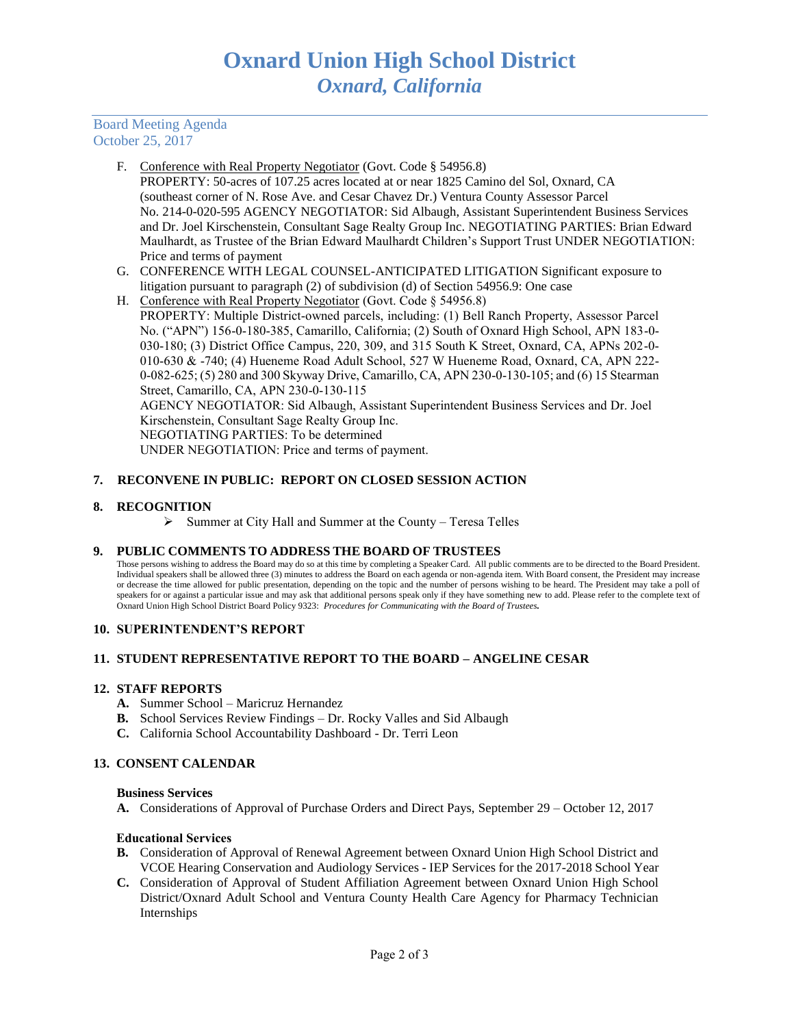## Board Meeting Agenda October 25, 2017

- F. Conference with Real Property Negotiator (Govt. Code § 54956.8) PROPERTY: 50-acres of 107.25 acres located at or near 1825 Camino del Sol, Oxnard, CA (southeast corner of N. Rose Ave. and Cesar Chavez Dr.) Ventura County Assessor Parcel No. 214-0-020-595 AGENCY NEGOTIATOR: Sid Albaugh, Assistant Superintendent Business Services and Dr. Joel Kirschenstein, Consultant Sage Realty Group Inc. NEGOTIATING PARTIES: Brian Edward Maulhardt, as Trustee of the Brian Edward Maulhardt Children's Support Trust UNDER NEGOTIATION: Price and terms of payment
- G. CONFERENCE WITH LEGAL COUNSEL-ANTICIPATED LITIGATION Significant exposure to litigation pursuant to paragraph (2) of subdivision (d) of Section 54956.9: One case
- H. Conference with Real Property Negotiator (Govt. Code § 54956.8) PROPERTY: Multiple District-owned parcels, including: (1) Bell Ranch Property, Assessor Parcel No. ("APN") 156-0-180-385, Camarillo, California; (2) South of Oxnard High School, APN 183-0- 030-180; (3) District Office Campus, 220, 309, and 315 South K Street, Oxnard, CA, APNs 202-0- 010-630 & -740; (4) Hueneme Road Adult School, 527 W Hueneme Road, Oxnard, CA, APN 222- 0-082-625; (5) 280 and 300 Skyway Drive, Camarillo, CA, APN 230-0-130-105; and (6) 15 Stearman Street, Camarillo, CA, APN 230-0-130-115 AGENCY NEGOTIATOR: Sid Albaugh, Assistant Superintendent Business Services and Dr. Joel Kirschenstein, Consultant Sage Realty Group Inc.

NEGOTIATING PARTIES: To be determined

UNDER NEGOTIATION: Price and terms of payment.

## **7. RECONVENE IN PUBLIC: REPORT ON CLOSED SESSION ACTION**

## **8. RECOGNITION**

➢ Summer at City Hall and Summer at the County – Teresa Telles

## **9. PUBLIC COMMENTS TO ADDRESS THE BOARD OF TRUSTEES**

Those persons wishing to address the Board may do so at this time by completing a Speaker Card. All public comments are to be directed to the Board President. Individual speakers shall be allowed three (3) minutes to address the Board on each agenda or non-agenda item. With Board consent, the President may increase or decrease the time allowed for public presentation, depending on the topic and the number of persons wishing to be heard. The President may take a poll of speakers for or against a particular issue and may ask that additional persons speak only if they have something new to add. Please refer to the complete text of Oxnard Union High School District Board Policy 9323: *Procedures for Communicating with the Board of Trustees.*

## **10. SUPERINTENDENT'S REPORT**

## **11. STUDENT REPRESENTATIVE REPORT TO THE BOARD – ANGELINE CESAR**

## **12. STAFF REPORTS**

- **A.** Summer School Maricruz Hernandez
- **B.** School Services Review Findings Dr. Rocky Valles and Sid Albaugh
- **C.** California School Accountability Dashboard Dr. Terri Leon

# **13. CONSENT CALENDAR**

## **Business Services**

**A.** Considerations of Approval of Purchase Orders and Direct Pays, September 29 – October 12, 2017

## Educational Services

- **B.** Consideration of Approval of Renewal Agreement between Oxnard Union High School District and VCOE Hearing Conservation and Audiology Services - IEP Services for the 2017-2018 School Year
- **C.** Consideration of Approval of Student Affiliation Agreement between Oxnard Union High School District/Oxnard Adult School and Ventura County Health Care Agency for Pharmacy Technician Internships